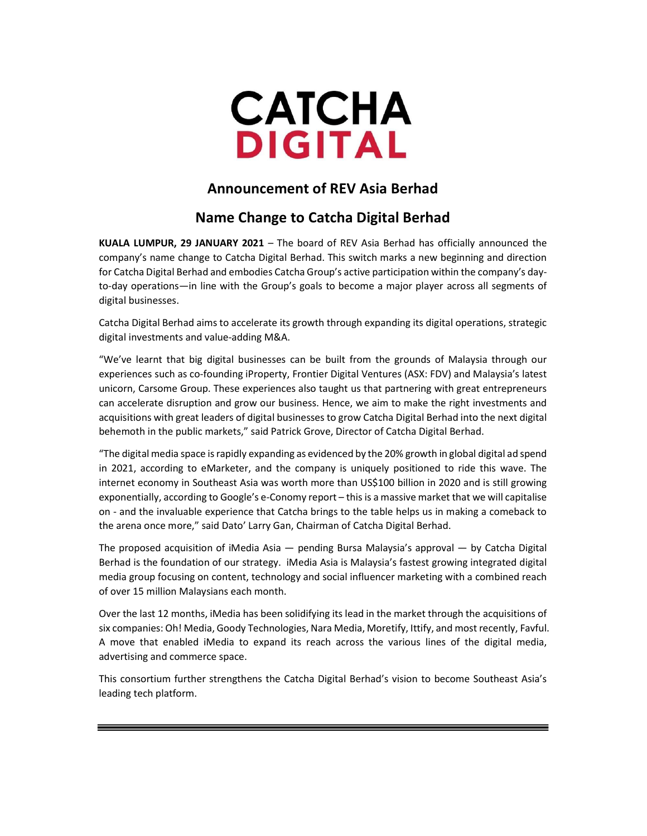

## Announcement of REV Asia Berhad

## Name Change to Catcha Digital Berhad

KUALA LUMPUR, 29 JANUARY 2021 – The board of REV Asia Berhad has officially announced the company's name change to Catcha Digital Berhad. This switch marks a new beginning and direction for Catcha Digital Berhad and embodies Catcha Group's active participation within the company's dayto-day operations—in line with the Group's goals to become a major player across all segments of digital businesses.

Catcha Digital Berhad aims to accelerate its growth through expanding its digital operations, strategic digital investments and value-adding M&A.

"We've learnt that big digital businesses can be built from the grounds of Malaysia through our experiences such as co-founding iProperty, Frontier Digital Ventures (ASX: FDV) and Malaysia's latest unicorn, Carsome Group. These experiences also taught us that partnering with great entrepreneurs can accelerate disruption and grow our business. Hence, we aim to make the right investments and acquisitions with great leaders of digital businesses to grow Catcha Digital Berhad into the next digital behemoth in the public markets," said Patrick Grove, Director of Catcha Digital Berhad.

"The digital media space is rapidly expanding as evidenced by the 20% growth in global digital ad spend in 2021, according to eMarketer, and the company is uniquely positioned to ride this wave. The internet economy in Southeast Asia was worth more than US\$100 billion in 2020 and is still growing exponentially, according to Google's e-Conomy report – this is a massive market that we will capitalise on - and the invaluable experience that Catcha brings to the table helps us in making a comeback to the arena once more," said Dato' Larry Gan, Chairman of Catcha Digital Berhad.

The proposed acquisition of iMedia Asia — pending Bursa Malaysia's approval — by Catcha Digital Berhad is the foundation of our strategy. iMedia Asia is Malaysia's fastest growing integrated digital media group focusing on content, technology and social influencer marketing with a combined reach of over 15 million Malaysians each month.

Over the last 12 months, iMedia has been solidifying its lead in the market through the acquisitions of six companies: Oh! Media, Goody Technologies, Nara Media, Moretify, Ittify, and most recently, Favful. A move that enabled iMedia to expand its reach across the various lines of the digital media, advertising and commerce space.

This consortium further strengthens the Catcha Digital Berhad's vision to become Southeast Asia's leading tech platform.